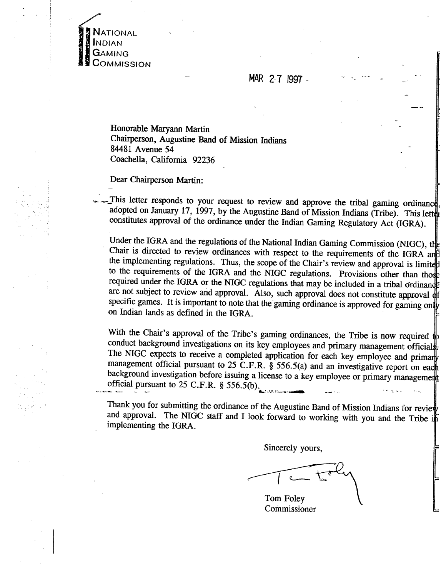**NATIONAL INDIAN GAMING** COMMISSION

**MAR** 2-7 **I997** - - -.

- --

Honorable Maryann Martin Chairperson, Augustine Band of Mission Indians - 84481 Avenue 54 Coachella, California 92236

Dear Chairperson Martin:

This letter responds to your request to review and approve the tribal gaming ordinance adopted on January 17, 1997, by the Augustine Band of Mission Indians (Tribe). This letter constitutes approval of the ordinance under the Indian Gaming Regulatory Act (IGRA).

Under the IGRA and the regulations of the National Indian Gaming Commission (NIGC), the Chair is directed to review ordinances with respect to the requirements of the IGRA and the implementing regulations. Thus, the scope of the Chair's review and approval is limited to the requirements of the IGRA and the NIGC regulations. Provisions other than those required under the IGRA or the NIGC regulations that may be included in a tribal ordinance are not subject to review and approval. Also, such approval does not constitute approval dt specific games. It is important to note that the gaming ordinance is approved for gaming only on Indian lands as defined in the IGRA.

With the Chair's approval of the Tribe's gaming ordinances, the Tribe is now required  $\psi$ conduct background investigations on its key employees and primary management official The NIGC expects to receive a completed application for each key employee and primary management official pursuant to 25 C.F.R. § 556.5(a) and an investigative report on each background investigation before issuing a license to a key employee or primary management official pursuant to 25 C.F.R. § 556.5(b). **6' intervalsion of the set of the set of the set of the set of the set of the set of the set of the set of the set of the set of the set of the set of the set of the set of the** 

Thank you for submitting the ordinance of the Augustine Band of Mission Indians for review and approval. The **NIGC** staff and I look forward to working with you and the Tribe implementing the IGRA.

Sincerely yours,

Tom Foley Commissioner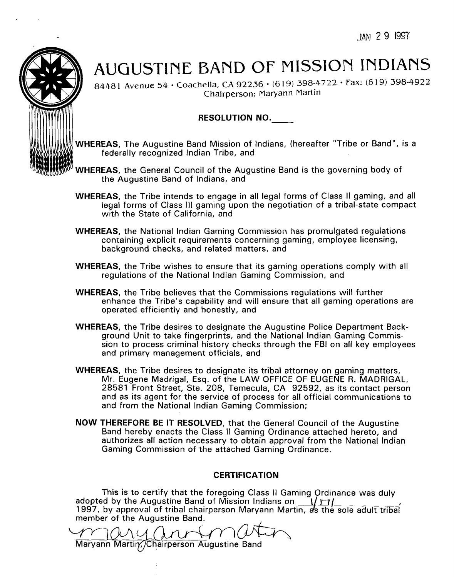14N 29 1997



# AUGUSTlNE BAND OF MISSION INDIANS

84481 Avenue 54 · Coachella, CA 92236 · (619) 398-4722 · Fax: (619) 398-4922 Chairperson: Maryann Martin

## RESOLUTION NO.

- WHEREAS, The Augustine Band Mission of Indians, (hereafter "Tribe or Band", is a federally recognized lndian Tribe, and
- WHEREAS, the General Council of the Augustine Band is the governing body of the Augustine Band of Indians, and
	- WHEREAS, the Tribe intends to engage in all legal forms of Class II gaming, and all legal forms of Class Ill gaming upon the negotiation of a tribal-state compact with the State of California, and
	- WHEREAS, the National lndian Gaming Commission has promulgated regulations containing explicit requirements concerning gaming, employee licensing, background checks, and related matters, and
	- WHEREAS, the Tribe wishes to ensure that its gaming operations comply with all regulations of the National lndian Gaming Commission, and
	- WHEREAS, the Tribe believes that the Commissions regulations will further enhance the Tribe's capability and will ensure that all gaming operations are operated efficiently and honestly, and
	- WHEREAS, the Tribe desires to designate the Augustine Police Department Background Unit to take fingerprints, and the National lndian Gaming Commission to process criminal history checks through the FBI on all key employees and primary management officials, and
	- WHEREAS, the Tribe desires to designate its tribal attorney on gaming matters, Mr. Eugene Madrigal, Esq. of the LAW OFFICE OF EUGENE R. MADRIGAL, 28581 Front Street, Ste. 208, Temecula, CA 92592, as its contact person and as its agent for the service of process for all official communications to and from the National lndian Gaming Commission;
	- NOW THEREFORE BE IT RESOLVED, that the General Council of the Augustine Band hereby enacts the Class II Gaming Ordinance attached hereto, and authorizes all action necessary to obtain approval from the National lndian Gaming Commission of the attached Gaming Ordinance.

# **CERTIFICATION**

This is to certify that the foregoing Class I1 Gaming Ordinance was duly adopted by the Augustine Band of Mission Indians on  $\frac{1}{17}$ 1997, by approval of tribal chairperson Maryann Martin, as the sole adult tribal member of the Augustine Band. This is to certify that the foregoing Class II Gaming Ordinance<br>adopted by the Augustine Band of Mission Indians on 1/17/<br>1997, by approval of tribal chairperson Maryann Martin, as the sole<br>member of the Augustine Band.<br>Ma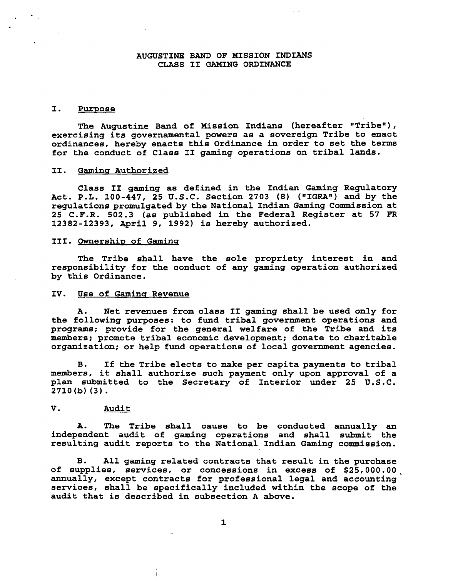#### **AUGUSTINE BAND OF MISSION INDIANS CLASS I1 GAMING ORDINANCE**

#### **I. Purpose**

**The Augustine Band of Mission Indians (hereafter "Triben** ) , **exercising its governmental powers as a sovereign Tribe to enact ordinances, hereby enacts this Ordinance in order to set the terms for the conduct of Class 11 gaming operations on tribal lands.** 

#### **11. Gamins Authorized**

**Class I1 gaming as defined in the Indian Gaming Regulatory**  Act. P.L. 100-447, 25 U.S.C. Section 2703 (8) ("IGRA") and by the **regulations promulgated by the National Indian Gaming Commission at 25 C.F.R. 502.3 (as published in the Federal Register at 57 FR 12382-12393, April 9, 1992) is hereby authorized.** 

#### **111. Ownership of Gaminq**

**The Tribe shall have the sole propriety interest in and responsibility for the conduct of any gaming operation authorized by this Ordinance.** 

#### **IV. Use of Gamina Revenue**

**A. Net revenues from class I1 gaming shall be used only for the following purposes: to fund tribal government operations and programs; provide for the general welfare of the Tribe and its members; promote tribal economic development; donate to charitable organization; or help fund operations of local government agencies.** 

**B. If the Tribe elects to make per capita payments to tribal members, it shall authorize such payment only upon approval of a plan submitted to the Secretary of Interior under 25 U.S.C. 2710 (b) (3).** 

#### **V. Audit**

**A. The Tribe shall cause to be conducted annually an independent audit of gaming operations and shall submit the resulting audit reports to the National Indian Gaming commission.** 

**B. All gaming related contracts that result in the purchase**  of supplies, services, or concessions in excess of \$25,000.00<sub>.</sub> **annually, except contracts for professional legal and accounting** ' **services, shall be specifically included within the scope of the audit that is described in subsection A above.**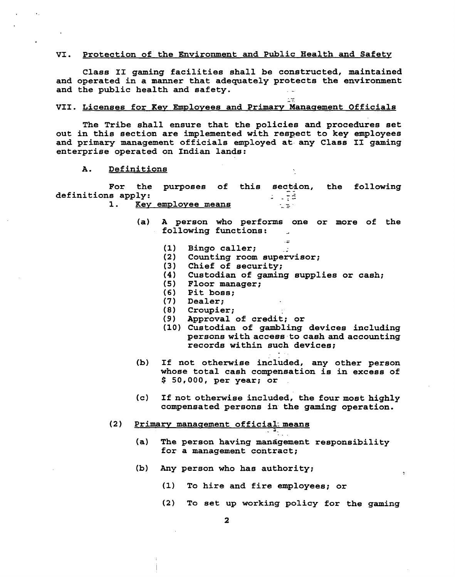#### **VI. Protection of the Environment and Public Health and Safety**

**Class I1 gaming facilities shall be constructed, maintained and operated in a manner that adequately protects the environment and the public health and safety.** - . -

### - .. **VII. Licenses for Key Employees and Primary Management Officials**

**The Tribe shall ensure that the policies and procedures set out in this section are implemented with respect to key employees and primary management officials employed at- any Class I1 gaming enterprise operated on Indian lands:** 

**A. Definitions** 

For the purposes of this section, the following **definitions apply:** - . **-,-** --

- **1. Key employee means** 
	- **(a) A person who performs one or more of the**  following functions: - .-
		-
		- (1) Bingo caller;<br>(2) Counting room super **(2) Counting room supervisor;**
		- **(3) Chief of security;**
		- **(4) Custodian of gaming supplies or cash;**
		- **(5) Floor manager;**
		- **(6) Pit boss;**
		- **(7) Dealer;**
		- **(8) Croupier;**
		- **(9) Approval of credit; or**
		- **(10) Custodian of gambling devices including**  persons with access to cash and accounting **records within such devices;**

-.

- **(b) If not otherwise included, any other person whose total cash compensation is in excess of**  \$ **50,000, per year; or**
- **(c) If not otherwise included, the four most highly compensated persons in- the gaming operation.**
- **(2)** Primary management official means
	- **(a) The person having management responsibility for a management contract;**
	- **(b) Any person who has authority;** 
		- **(1) To hire and fire employees; or**
		- **(2) To set up working policy for the gaming**

 $\overline{\mathbf{2}}$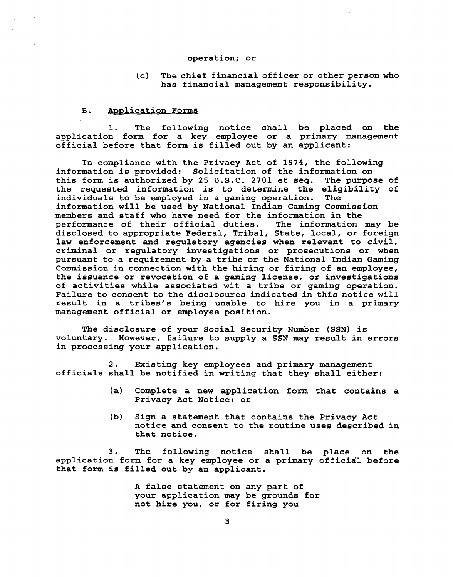#### **operation; or**

**(c) The chief financial officer or other person who has financial management responsibility.** 

#### **B.** Application Forms

**1. The following notice shall be placed on the application form for a key employee or a primary management official before that form is filled out by an applicant:** 

**In compliance with the Privacy Act of 1974, the following information is provided: Solicitation of the information on**  this form is authorized by 25 U.S.C. 2701 et seq. **the requested information is to determine the eligibility of individuals to be employed in a gaming operation. The information will be used by National Indian Gaming Commission members and staff who have need for the information in the performance of their official duties. The information may be disclosed to appropriate Federal, Tribal, State, local, or foreign law enforcement and regulatory agencies when relevant to civil, criminal or regulatory investigations or prosecutions or when pursuant to a requirement by a tribe or the National Indian Gaming Commission in connection with the hiring or firing of an employee, the issuance or revocation of a gaming license, or investigations of activities while associated wit a tribe or gaming operation. Failure to consent to the disclosures indicated in this notice will result in a tribes's being unable to hire you in a primary management official or employee position.** 

**The disclosure of your Social Security Number (SSN) is voluntary. However, failure to supply a SSN may result in errors in processing your application.** 

**2. Existing key employees and primary management officials shall be notified in writing that they shall either:** 

- **(a) Complete a new application form that contains a Privacy Act Notice: or**
- **(b) Sign a statement that contains the Privacy Act notice and consent to the routine uses described in that notice.**

**3. The following notice shall be place on the application form for a key employee or a primary official before that form is filled out by an applicant.** 

> **A false statement on any part of your application may be grounds for not hire you, or for firing you**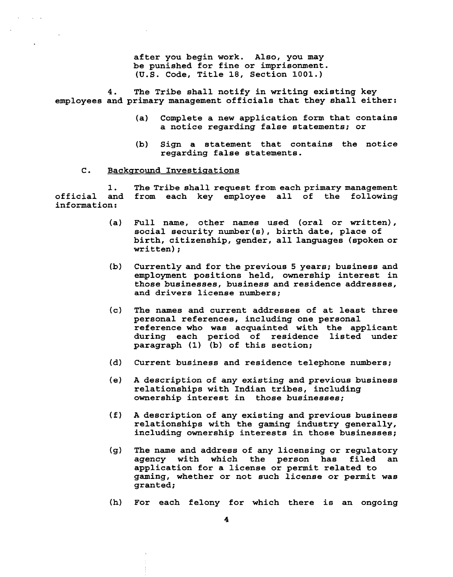**after you begin work. Also, you may be punished for fine or imprisonment. (U.S. Code, Title 18, Section 1001.)** 

**4. The Tribe shall notify in writing existing key employees and primary management officials that they shall either:** 

- **(a) Complete a new application form that contains a notice regarding false statements; or**
- **(b) Sign a statement that contains the notice regarding false statements.**

#### **C.** Background Investigations

**1. The Tribe shall request from each primary management official and from each key employee all of the following information:** 

- **(a) Full name, other names used (oral or written), social security number(s), birth date, place of birth, citizenship, gender, all languages (spoken or written)** ;
- **(b) Currently and for the previous 5 years; business and employment positions held, ownership interest in those businesses, business and residence addresses, and drivers license numbers;**
- **(c) The names and current addresses of at least three personal references, including one personal reference who was acquainted with the applicant during each period of residence listed under paragraph (1) (b) of this section;**
- **(dl Current business and residence telephone numbers;**
- **(e) A description of any existing and previous business relationships with Indian tribes, including ownership interest in those businesses;**
- **(f) A description of any existing and previous business relationships with the gaming industry generally, including ownership interests in those businesses;**
- **(g) The name and address of any licensing or regulatory**  agency with which the person has **application for a license or permit related to gaming, whether or not such license or permit was granted;**
- **(h) For each felony for which there is an ongoing**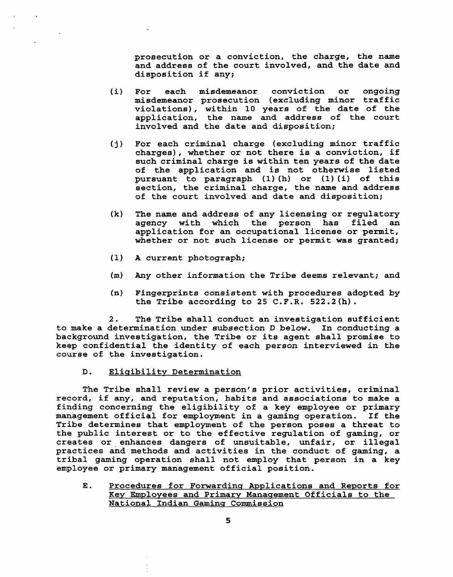**prosecution or a conviction, the charge, the name and address of the court involved, and the date and disposition if any;** 

- **(i) For each misdemeanor conviction or ongoing misdemeanor prosecution (excluding minor traffic violations), within 10 years of the date of the application, the name and address of the court involved and the date and disposition;**
- **(j) For each criminal charge (excluding minor traffic charges), whether or not there is a conviction, if such criminal charge is within ten years of the date of the application and is not otherwise listed pursuant to paragraph (1) (h) or (1) (i) of this section, the criminal charge, the name and address of the court involved and date and disposition;**
- **(k) The name and address of any licensing or regulatory**  agency with which the person has **application for an occupational license or permit, whether or not such license or permit was granted;**
- **(1) A current photograph;**
- **(m) Any other information the Tribe deems relevant; and**
- **(n) Fingerprints consistent with procedures adopted by the Tribe according to 25 C.F.R. 522.2(h).**

2. The Tribe shall conduct an investigation sufficient **to make a determination under subsection D below. In conducting a background investigation, the Tribe or its agent shall promise to keep confidential the identity of each person interviewed in the course of the investigation.** 

**D. Elisibility Determination** 

**The Tribe shall review a person's prior activities, criminal record, if any, and reputation, habits and associations to make a finding concerning the eligibility of a key employee or primary management official for employment in a gaming operation. If the Tribe determines that employment of the person poses a threat to the public interest or to the effective regulation of gaming, or creates or enhances dangers of unsuitable, unfair, or illegal practices and methods and activities in the conduct of gaming, a tribal gaming operation shall not employ that person in a key employee or primary management official position.** 

**E.** Procedures for Forwarding Applications and Reports for **Key Employees and Primary Manasement Officials to the National Indian Gamins Commission**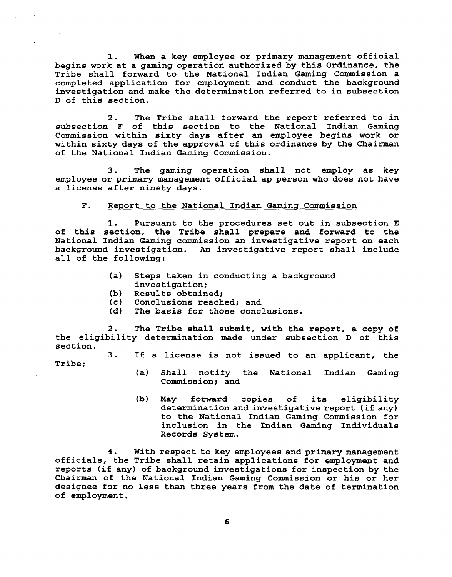**1. When a key employee or primary management official begins work at a gaming operation authorized by this Ordinance, the Tribe shall forward to the National Indian Gaming Commission a completed application for employment and conduct the background investigation and make the determination referred to in subsection D of this section.** 

**2. The Tribe shall forward the report referred to in subsection F of this section to the National Indian Gaming Commission within sixty days after an employee begins work or within sixty days of the approval of this ordinance by the Chairman of the National Indian Gaming Commission.** 

**3. The gaming operation shall not employ as key employee or primary management official ap person who does not have a license after ninety days.** 

#### **F. Report to the National Indian Gamins Commission**

**1. Pursuant to the procedures set out in subsection E of this section, the Tribe shall prepare and forward to the National Indian Gaming commission an investigative report on each background investigation. An investigative report shall include all of the following:** 

- **(a) Steps taken in conducting a background investigation;**
- **(b) Results obtained;**
- **(c) Conclusions reached; and**
- The basis for those conclusions.

**2. The Tribe shall submit, with the report, a copy of the eligibility determination made under subsection D of this section.** 

**3. If a license is not issued to an applicant, the** 

**Tribe;** 

- **(a) Shall notify the National Indian Gaming Commission; and**
- **(b) May forward copies of its eligibility determination and investigative report (if any) to the National Indian Gaming Commission for inclusion in the Indian Gaming Individuals Records System.**

**4. With respect to key employees and primary management officials, the Tribe shall retain applications for employment and reports (if any) of background investigations for inspection by the Chairman of the National Indian Gaming Commission or his or her designee for no less than three years from the date of termination of employment.** 

6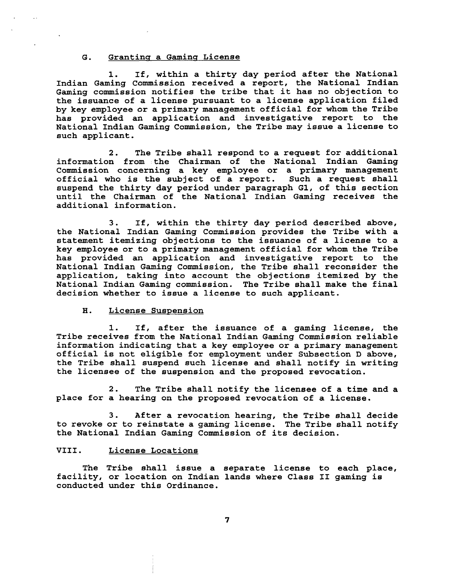#### **G. Grantins a Gamins License**

**1. If, within a thirty day period after the National Indian Gaming Commission received a report, the National Indian Gaming commission notifies the tribe that it has no objection to the issuance of a license pursuant to a license application filed by key employee or a primary management official for whom the Tribe has provided an application and investigative report to the National Indian Gaming Commission, the Tribe may issue a license to such applicant.** 

**2. The Tribe shall respond to a request for additional information from the Chairman of the National Indian Gaming**  Commission concerning a key employee or a primary management official who is the subject of a report. Such a request shall official who is the subject of a report. **suspend the thirty day period under paragraph GI, of this section until the Chairman of the National Indian Gaming receives the additional information.** 

**3. If, within the thirty day period described above, the National Indian Gaming Commission provides the Tribe with a statement itemizing objections to the issuance of a license to a key employee or to a primary management official for whom the Tribe has provided an application and investigative report to the National Indian Gaming Commission, the Tribe shall reconsider the application, taking into account the objections itemized by the National Indian Gaming commission. The Tribe shall make the final decision whether to issue a license to such applicant.** 

#### **H. License Suspension**

**1. If, after the issuance of a gaming license, the Tribe receives from the National Indian Gaming Commission reliable information indicating that a key employee or a primary management official is not eligible for employment under Subsection D above, the Tribe shall suspend such license and shall notify in writing the licensee of the suspension and the proposed revocation.** 

**2. The Tribe shall notify the licensee of a time and a place for a hearing on the proposed revocation of a license.** 

**3. After a revocation hearing, the Tribe shall decide to revoke or to reinstate a gaming license. The Tribe shall notify the National Indian Gaming Commission of its decision.** 

#### **VIII. License Locations**

**The Tribe shall issue a separate license to each place, facility, or location on Indian lands where Class I1 gaming is conducted under this Ordinance.** 

 $\overline{\mathbf{z}}$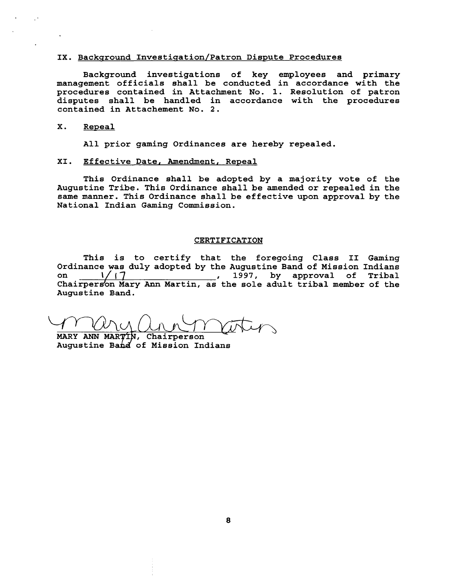#### IX. Background Investigation/Patron Dispute Procedures

**Background investigations of key employees and primary management officials shall be conducted in accordance with the procedures contained in Attachment No. 1. Resolution of patron disputes shall be handled in accordance with the procedures contained in Attachement No. 2.** 

#### **X. Reveal**

**All prior gaming Ordinances are hereby repealed.** 

#### **XI. Effective Date, Amendment, Reveal**

**This Ordinance shall be adopted by a majority vote of the Augustine Tribe. This Ordinance shall be amended or repealed in the same manner. This Ordinance shall be effective upon approval by the National Indian Gaming Commission.** 

#### **CERTIFICATION**

**This is to certify that the foregoing Class I1 Gaming**  Ordinance was duly adopted by the Augustine Band of Mission Indians<br>on \_\_\_\_\_\_\_\_\_\_\_\_\_\_\_\_\_\_\_\_\_\_\_\_\_\_\_\_\_\_, 1997, by approval of Tribal **chairperson Mary Ann Martin, as the sole adult tribal member of the** <br>Chairperson Mary Ann Martin, as the sole adult tribal member of the **Augustine Band.** 

**MARY ANN ANN MARY AN** 

Augustine Band of Mission Indians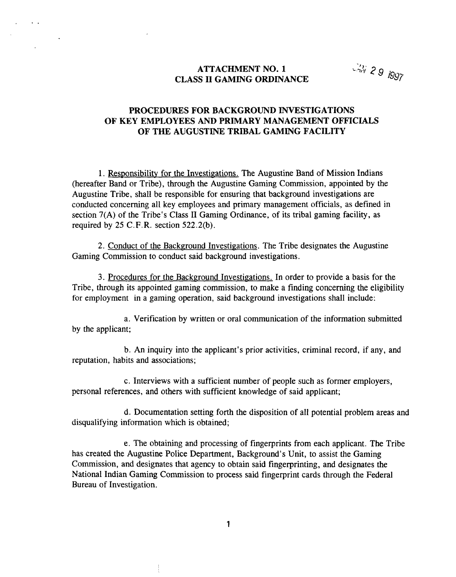# **ATTACHMENT NO. 1** *z***<sub>3</sub>/y<sub>29</sub> <b>***g***<sub>1997</sub> CLASS II GAMING ORDINANCE**

# **PROCEDURES FOR BACKGROUND INVESTIGATIONS OF KEY EMPLOYEES AND PRIMARY MANAGEMENT OFFICIALS OF THE AUGUSTINE TRIBAL GAMING FACILITY**

1. Responsibility for the Investigations. The Augustine Band of Mission Indians (hereafter Band or Tribe), through the Augustine Gaming Commission, appointed by the Augustine Tribe, shall be responsible for ensuring that background investigations are conducted concerning all key employees and primary management officials, as defined in section 7(A) of the Tribe's Class II Gaming Ordinance, of its tribal gaming facility, as required by 25 C.F.R. section 522.2(b).

2. Conduct of the Background Investigations. The Tribe designates the Augustine Gaming Commission to conduct said background investigations.

**3.** Procedures for the Background Investigations. In order to provide a basis for the Tribe, through its appointed gaming commission, to make a finding concerning the eligibility for employment in a gaming operation, said background investigations shall include:

a. Verification by written or oral communication of the information submitted by the applicant;

b. An inquiry into the applicant's prior activities, criminal record, if any, and reputation, habits and associations;

c. Interviews with a sufficient number of people such as former employers, personal references, and others with sufficient knowledge of said applicant;

d. Documentation setting forth the disposition of all potential problem areas and disqualifying information which is obtained;

e. The obtaining and processing of fingerprints from each applicant. The Tribe has created the Augustine Police Department, Background's Unit, to assist the Gaming Commission, and designates that agency to obtain said fingerprinting, and designates the National Indian Gaming Commission to process said fingerprint cards through the Federal Bureau of Investigation.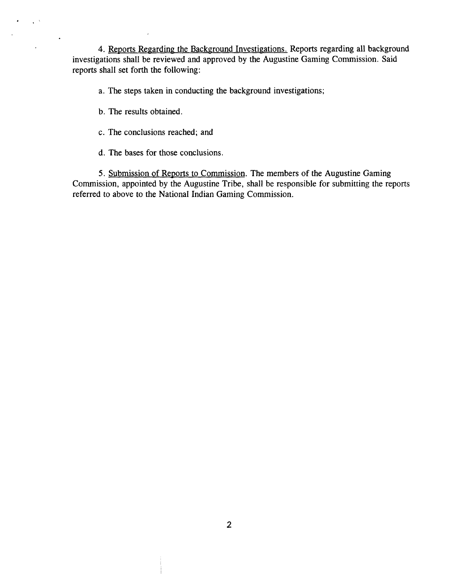4. Reports Regarding the Background Investigations. Reports regarding all background investigations shall be reviewed and approved by the Augustine Gaming Commission. Said reports shall set forth the following:

a. The steps taken in conducting the background investigations;

b. The results obtained.

 $\mathcal{L}^{(1,1)}$ 

 $\ddot{\phantom{a}}$ 

- c. The conclusions reached; and
- d. The bases for those conclusions.

5. Submission of Reports to Commission. The members of the Augustine Gaming Commission, appointed by the Augustine Tribe, shall be responsible for submitting the reports referred to above to the National Indian Gaming Commission.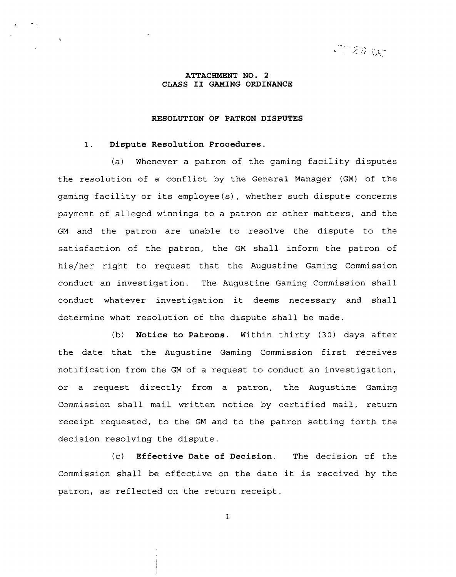$C_1 \gtrsim 0.005$ 

#### **ATTACHMENT NO. 2 CLASS I1 GAMING ORDINANCE**

#### **RESOLUTION OF PATRON DISPUTES**

#### **1. Dispute Resolution Procedures.**

 $\bullet$ 

(a) Whenever a patron of the gaming facility disputes the resolution of a conflict by the General Manager (GM) of the gaming facility or its employee(s), whether such dispute concerns payment of alleged winnings to a patron or other matters, and the GM and the patron are unable to resolve the dispute to the satisfaction of the patron, the GM shall inform the patron of his/her right to request that the Augustine Gaming Commission conduct an investigation. The Augustine Gaming Commission shall conduct whatever investigation it deems necessary and shall determine what resolution of the dispute shall be made.

(b) **Notice to Patrons.** Within thirty **(30)** days after the date that the Augustine Gaming Commission first receives notification from the GM of a request to conduct an investigation, or a request directly from a patron, the Augustine Gaming Commission shall mail written notice by certified mail, return receipt requested, to the GM and to the patron setting forth the decision resolving the dispute.

(c) **Effective Date of Decision.** The decision of the Commission shall be effective on the date it is received by the patron, as reflected on the return receipt.

 $\mathbf{1}$